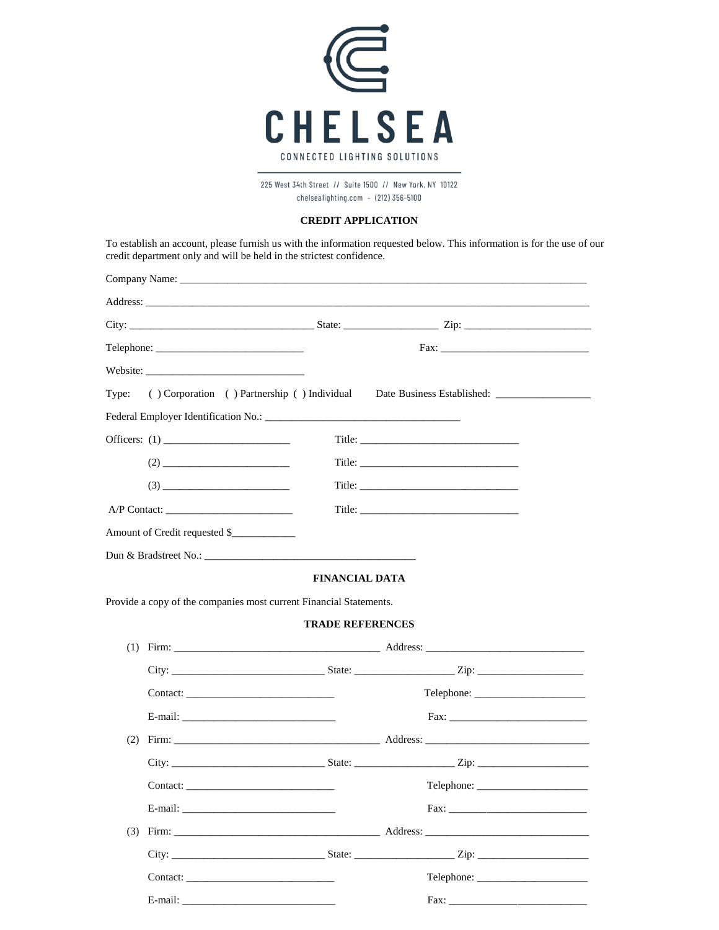

225 West 34th Street // Suite 1500 // New York, NY 10122 chelsealighting.com  $-$  (212) 356-5100

## **CREDIT APPLICATION**

To establish an account, please furnish us with the information requested below. This information is for the use of our credit department only and will be held in the strictest confidence.

| Type: |                                                                                                                                                                                                                                                                                                                                                                                     |                         | () Corporation () Partnership () Individual Date Business Established: ____________________________                                                                                                                                                                                                                   |  |
|-------|-------------------------------------------------------------------------------------------------------------------------------------------------------------------------------------------------------------------------------------------------------------------------------------------------------------------------------------------------------------------------------------|-------------------------|-----------------------------------------------------------------------------------------------------------------------------------------------------------------------------------------------------------------------------------------------------------------------------------------------------------------------|--|
|       |                                                                                                                                                                                                                                                                                                                                                                                     |                         |                                                                                                                                                                                                                                                                                                                       |  |
|       |                                                                                                                                                                                                                                                                                                                                                                                     |                         |                                                                                                                                                                                                                                                                                                                       |  |
|       | $(2)$                                                                                                                                                                                                                                                                                                                                                                               |                         |                                                                                                                                                                                                                                                                                                                       |  |
|       | $(3) \begin{tabular}{c} \hline \rule[1em]{1em}{0.4em} \rule[1em]{1em}{0.4em} \rule[1em]{1em}{0.4em} \rule[1em]{1em}{0.4em} \rule[1em]{1em}{0.4em} \rule[1em]{1em}{0.4em} \rule[1em]{1em}{0.4em} \rule[1em]{1em}{0.4em} \rule[1em]{1em}{0.4em} \rule[1em]{1em}{0.4em} \rule[1em]{1em}{0.4em} \rule[1em]{1em}{0.4em} \rule[1em]{1em}{0.4em} \rule[1em]{1em}{0.4em} \rule[1em]{1em}{0$ |                         |                                                                                                                                                                                                                                                                                                                       |  |
|       |                                                                                                                                                                                                                                                                                                                                                                                     |                         |                                                                                                                                                                                                                                                                                                                       |  |
|       | Amount of Credit requested \$                                                                                                                                                                                                                                                                                                                                                       |                         |                                                                                                                                                                                                                                                                                                                       |  |
|       |                                                                                                                                                                                                                                                                                                                                                                                     |                         |                                                                                                                                                                                                                                                                                                                       |  |
|       |                                                                                                                                                                                                                                                                                                                                                                                     | <b>FINANCIAL DATA</b>   |                                                                                                                                                                                                                                                                                                                       |  |
|       | Provide a copy of the companies most current Financial Statements.                                                                                                                                                                                                                                                                                                                  |                         |                                                                                                                                                                                                                                                                                                                       |  |
|       |                                                                                                                                                                                                                                                                                                                                                                                     | <b>TRADE REFERENCES</b> |                                                                                                                                                                                                                                                                                                                       |  |
|       |                                                                                                                                                                                                                                                                                                                                                                                     |                         |                                                                                                                                                                                                                                                                                                                       |  |
|       |                                                                                                                                                                                                                                                                                                                                                                                     |                         |                                                                                                                                                                                                                                                                                                                       |  |
|       |                                                                                                                                                                                                                                                                                                                                                                                     |                         |                                                                                                                                                                                                                                                                                                                       |  |
|       |                                                                                                                                                                                                                                                                                                                                                                                     |                         | Fax:                                                                                                                                                                                                                                                                                                                  |  |
|       |                                                                                                                                                                                                                                                                                                                                                                                     |                         |                                                                                                                                                                                                                                                                                                                       |  |
|       |                                                                                                                                                                                                                                                                                                                                                                                     |                         |                                                                                                                                                                                                                                                                                                                       |  |
|       |                                                                                                                                                                                                                                                                                                                                                                                     |                         |                                                                                                                                                                                                                                                                                                                       |  |
|       |                                                                                                                                                                                                                                                                                                                                                                                     |                         |                                                                                                                                                                                                                                                                                                                       |  |
| (3)   |                                                                                                                                                                                                                                                                                                                                                                                     |                         |                                                                                                                                                                                                                                                                                                                       |  |
|       |                                                                                                                                                                                                                                                                                                                                                                                     |                         | City: $\frac{1}{2}$ $\frac{1}{2}$ $\frac{1}{2}$ $\frac{1}{2}$ $\frac{1}{2}$ $\frac{1}{2}$ $\frac{1}{2}$ $\frac{1}{2}$ $\frac{1}{2}$ $\frac{1}{2}$ $\frac{1}{2}$ $\frac{1}{2}$ $\frac{1}{2}$ $\frac{1}{2}$ $\frac{1}{2}$ $\frac{1}{2}$ $\frac{1}{2}$ $\frac{1}{2}$ $\frac{1}{2}$ $\frac{1}{2}$ $\frac{1}{2}$ $\frac{1$ |  |
|       | Contact:                                                                                                                                                                                                                                                                                                                                                                            |                         | Telephone:                                                                                                                                                                                                                                                                                                            |  |
|       |                                                                                                                                                                                                                                                                                                                                                                                     |                         |                                                                                                                                                                                                                                                                                                                       |  |
|       |                                                                                                                                                                                                                                                                                                                                                                                     |                         |                                                                                                                                                                                                                                                                                                                       |  |